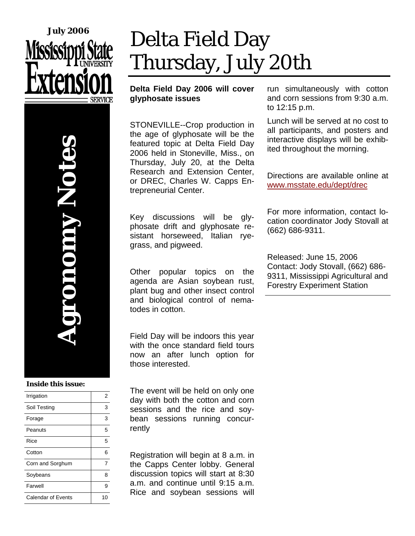



### **Inside this issue:**

| Irrigation         | 2  |
|--------------------|----|
| Soil Testing       | 3  |
| Forage             | 3  |
| Peanuts            | 5  |
| Rice               | 5  |
| Cotton             | 6  |
| Corn and Sorghum   | 7  |
| Soybeans           | 8  |
| Farwell            | 9  |
| Calendar of Events | 10 |

# Delta Field Day Thursday, July 20th

### **Delta Field Day 2006 will cover glyphosate issues**

STONEVILLE--Crop production in the age of glyphosate will be the featured topic at Delta Field Day 2006 held in Stoneville, Miss., on Thursday, July 20, at the Delta Research and Extension Center, or DREC, Charles W. Capps Entrepreneurial Center.

Key discussions will be glyphosate drift and glyphosate resistant horseweed, Italian ryegrass, and pigweed.

Other popular topics on the agenda are Asian soybean rust, plant bug and other insect control and biological control of nematodes in cotton.

Field Day will be indoors this year with the once standard field tours now an after lunch option for those interested.

The event will be held on only one day with both the cotton and corn sessions and the rice and soybean sessions running concurrently

Registration will begin at 8 a.m. in the Capps Center lobby. General discussion topics will start at 8:30 a.m. and continue until 9:15 a.m. Rice and soybean sessions will run simultaneously with cotton and corn sessions from 9:30 a.m. to 12:15 p.m.

Lunch will be served at no cost to all participants, and posters and interactive displays will be exhibited throughout the morning.

Directions are available online at www.msstate.edu/dept/drec

For more information, contact location coordinator Jody Stovall at (662) 686-9311.

Released: June 15, 2006 Contact: Jody Stovall, (662) 686- 9311, Mississippi Agricultural and Forestry Experiment Station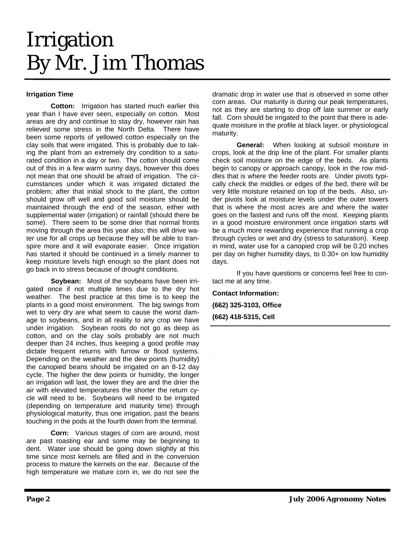## Irrigation By Mr. Jim Thomas

### **Irrigation Time**

 **Cotton:** Irrigation has started much earlier this year than I have ever seen, especially on cotton. Most areas are dry and continue to stay dry, however rain has relieved some stress in the North Delta. There have been some reports of yellowed cotton especially on the clay soils that were irrigated. This is probably due to taking the plant from an extremely dry condition to a saturated condition in a day or two. The cotton should come out of this in a few warm sunny days, however this does not mean that one should be afraid of irrigation. The circumstances under which it was irrigated dictated the problem; after that initial shock to the plant, the cotton should grow off well and good soil moisture should be maintained through the end of the season, either with supplemental water (irrigation) or rainfall (should there be some). There seem to be some drier that normal fronts moving through the area this year also; this will drive water use for all crops up because they will be able to transpire more and it will evaporate easier. Once irrigation has started it should be continued in a timely manner to keep moisture levels high enough so the plant does not go back in to stress because of drought conditions.

**Soybean:** Most of the soybeans have been irrigated once if not multiple times due to the dry hot weather. The best practice at this time is to keep the plants in a good moist environment. The big swings from wet to very dry are what seem to cause the worst damage to soybeans, and in all reality to any crop we have under irrigation. Soybean roots do not go as deep as cotton, and on the clay soils probably are not much deeper than 24 inches, thus keeping a good profile may dictate frequent returns with furrow or flood systems. Depending on the weather and the dew points (humidity) the canopied beans should be irrigated on an 8-12 day cycle. The higher the dew points or humidity, the longer an irrigation will last, the lower they are and the drier the air with elevated temperatures the shorter the return cycle will need to be. Soybeans will need to be irrigated (depending on temperature and maturity time) through physiological maturity, thus one irrigation, past the beans touching in the pods at the fourth down from the terminal.

**Corn:** Various stages of corn are around, most are past roasting ear and some may be beginning to dent. Water use should be going down slightly at this time since most kernels are filled and in the conversion process to mature the kernels on the ear. Because of the high temperature we mature corn in, we do not see the

dramatic drop in water use that is observed in some other corn areas. Our maturity is during our peak temperatures, not as they are starting to drop off late summer or early fall. Corn should be irrigated to the point that there is adequate moisture in the profile at black layer, or physiological maturity.

**General:** When looking at subsoil moisture in crops, look at the drip line of the plant. For smaller plants check soil moisture on the edge of the beds. As plants begin to canopy or approach canopy, look in the row middles that is where the feeder roots are. Under pivots typically check the middles or edges of the bed, there will be very little moisture retained on top of the beds. Also, under pivots look at moisture levels under the outer towers that is where the most acres are and where the water goes on the fastest and runs off the most. Keeping plants in a good moisture environment once irrigation starts will be a much more rewarding experience that running a crop through cycles or wet and dry (stress to saturation). Keep in mind, water use for a canopied crop will be 0.20 inches per day on higher humidity days, to 0.30+ on low humidity days.

 If you have questions or concerns feel free to contact me at any time.

**Contact Information: (662) 325-3103, Office (662) 418-5315, Cell**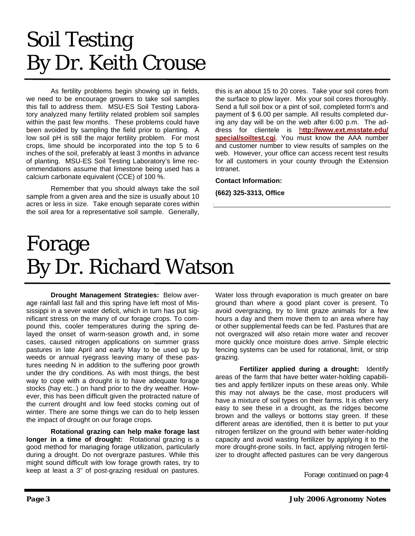# Soil Testing By Dr. Keith Crouse

 As fertility problems begin showing up in fields, we need to be encourage growers to take soil samples this fall to address them. MSU-ES Soil Testing Laboratory analyzed many fertility related problem soil samples within the past few months. These problems could have been avoided by sampling the field prior to planting. A low soil pH is still the major fertility problem. For most crops, lime should be incorporated into the top 5 to 6 inches of the soil, preferably at least 3 months in advance of planting. MSU-ES Soil Testing Laboratory's lime recommendations assume that limestone being used has a calcium carbonate equivalent (CCE) of 100 %.

 Remember that you should always take the soil sample from a given area and the size is usually about 10 acres or less in size. Take enough separate cores within the soil area for a representative soil sample. Generally,

this is an about 15 to 20 cores. Take your soil cores from the surface to plow layer. Mix your soil cores thoroughly. Send a full soil box or a pint of soil, completed form's and payment of \$ 6.00 per sample. All results completed during any day will be on the web after 6:00 p.m. The address for clientele is h**ttp://www.ext.msstate.edu/ special/soiltest.cgi**. You must know the AAA number and customer number to view results of samples on the web. However, your office can access recent test results for all customers in your county through the Extension Intranet.

**Contact Information:** 

**(662) 325-3313, Office** 

### Forage By Dr. Richard Watson

 **Drought Management Strategies:** Below average rainfall last fall and this spring have left most of Mississippi in a sever water deficit, which in turn has put significant stress on the many of our forage crops. To compound this, cooler temperatures during the spring delayed the onset of warm-season growth and, in some cases, caused nitrogen applications on summer grass pastures in late April and early May to be used up by weeds or annual ryegrass leaving many of these pastures needing N in addition to the suffering poor growth under the dry conditions. As with most things, the best way to cope with a drought is to have adequate forage stocks (hay etc..) on hand prior to the dry weather. However, this has been difficult given the protracted nature of the current drought and low feed stocks coming out of winter. There are some things we can do to help lessen the impact of drought on our forage crops.

 **Rotational grazing can help make forage last longer in a time of drought:** Rotational grazing is a good method for managing forage utilization, particularly during a drought. Do not overgraze pastures. While this might sound difficult with low forage growth rates, try to keep at least a 3" of post-grazing residual on pastures.

Water loss through evaporation is much greater on bare ground than where a good plant cover is present. To avoid overgrazing, try to limit graze animals for a few hours a day and them move them to an area where hay or other supplemental feeds can be fed. Pastures that are not overgrazed will also retain more water and recover more quickly once moisture does arrive. Simple electric fencing systems can be used for rotational, limit, or strip grazing.

**Fertilizer applied during a drought:** Identify areas of the farm that have better water-holding capabilities and apply fertilizer inputs on these areas only. While this may not always be the case, most producers will have a mixture of soil types on their farms. It is often very easy to see these in a drought, as the ridges become brown and the valleys or bottoms stay green. If these different areas are identified, then it is better to put your nitrogen fertilizer on the ground with better water-holding capacity and avoid wasting fertilizer by applying it to the more drought-prone soils. In fact, applying nitrogen fertilizer to drought affected pastures can be very dangerous

Forage continued on page 4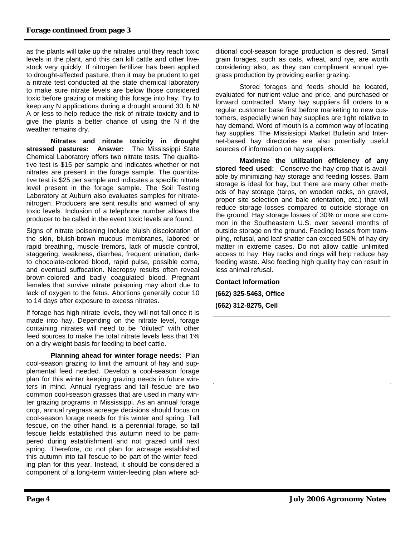as the plants will take up the nitrates until they reach toxic levels in the plant, and this can kill cattle and other livestock very quickly. If nitrogen fertilizer has been applied to drought-affected pasture, then it may be prudent to get a nitrate test conducted at the state chemical laboratory to make sure nitrate levels are below those considered toxic before grazing or making this forage into hay. Try to keep any N applications during a drought around 30 lb N/ A or less to help reduce the risk of nitrate toxicity and to give the plants a better chance of using the N if the weather remains dry.

**Nitrates and nitrate toxicity in drought stressed pastures: Answer:** The Mississippi State Chemical Laboratory offers two nitrate tests. The qualitative test is \$15 per sample and indicates whether or not nitrates are present in the forage sample. The quantitative test is \$25 per sample and indicates a specific nitrate level present in the forage sample. The Soil Testing Laboratory at Auburn also evaluates samples for nitratenitrogen. Producers are sent results and warned of any toxic levels. Inclusion of a telephone number allows the producer to be called in the event toxic levels are found.

Signs of nitrate poisoning include bluish discoloration of the skin, bluish-brown mucous membranes, labored or rapid breathing, muscle tremors, lack of muscle control, staggering, weakness, diarrhea, frequent urination, darkto chocolate-colored blood, rapid pulse, possible coma, and eventual suffocation. Necropsy results often reveal brown-colored and badly coagulated blood. Pregnant females that survive nitrate poisoning may abort due to lack of oxygen to the fetus. Abortions generally occur 10 to 14 days after exposure to excess nitrates.

If forage has high nitrate levels, they will not fall once it is made into hay. Depending on the nitrate level, forage containing nitrates will need to be "diluted" with other feed sources to make the total nitrate levels less that 1% on a dry weight basis for feeding to beef cattle.

 **Planning ahead for winter forage needs:** Plan cool-season grazing to limit the amount of hay and supplemental feed needed. Develop a cool-season forage plan for this winter keeping grazing needs in future winters in mind. Annual ryegrass and tall fescue are two common cool-season grasses that are used in many winter grazing programs in Mississippi. As an annual forage crop, annual ryegrass acreage decisions should focus on cool-season forage needs for this winter and spring. Tall fescue, on the other hand, is a perennial forage, so tall fescue fields established this autumn need to be pampered during establishment and not grazed until next spring. Therefore, do not plan for acreage established this autumn into tall fescue to be part of the winter feeding plan for this year. Instead, it should be considered a component of a long-term winter-feeding plan where ad-

ditional cool-season forage production is desired. Small grain forages, such as oats, wheat, and rye, are worth considering also, as they can compliment annual ryegrass production by providing earlier grazing.

 Stored forages and feeds should be located, evaluated for nutrient value and price, and purchased or forward contracted. Many hay suppliers fill orders to a regular customer base first before marketing to new customers, especially when hay supplies are tight relative to hay demand. Word of mouth is a common way of locating hay supplies. The Mississippi Market Bulletin and Internet-based hay directories are also potentially useful sources of information on hay suppliers.

**Maximize the utilization efficiency of any stored feed used:** Conserve the hay crop that is available by minimizing hay storage and feeding losses. Barn storage is ideal for hay, but there are many other methods of hay storage (tarps, on wooden racks, on gravel, proper site selection and bale orientation, etc.) that will reduce storage losses compared to outside storage on the ground. Hay storage losses of 30% or more are common in the Southeastern U.S. over several months of outside storage on the ground. Feeding losses from trampling, refusal, and leaf shatter can exceed 50% of hay dry matter in extreme cases. Do not allow cattle unlimited access to hay. Hay racks and rings will help reduce hay feeding waste. Also feeding high quality hay can result in less animal refusal.

**Contact Information (662) 325-5463, Office (662) 312-8275, Cell**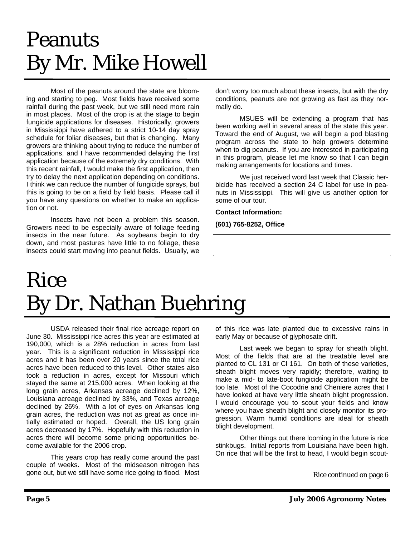# Peanuts By Mr. Mike Howell

 Most of the peanuts around the state are blooming and starting to peg. Most fields have received some rainfall during the past week, but we still need more rain in most places. Most of the crop is at the stage to begin fungicide applications for diseases. Historically, growers in Mississippi have adhered to a strict 10-14 day spray schedule for foliar diseases, but that is changing. Many growers are thinking about trying to reduce the number of applications, and I have recommended delaying the first application because of the extremely dry conditions. With this recent rainfall, I would make the first application, then try to delay the next application depending on conditions. I think we can reduce the number of fungicide sprays, but this is going to be on a field by field basis. Please call if you have any questions on whether to make an application or not.

 Insects have not been a problem this season. Growers need to be especially aware of foliage feeding insects in the near future. As soybeans begin to dry down, and most pastures have little to no foliage, these insects could start moving into peanut fields. Usually, we

don't worry too much about these insects, but with the dry conditions, peanuts are not growing as fast as they normally do.

 MSUES will be extending a program that has been working well in several areas of the state this year. Toward the end of August, we will begin a pod blasting program across the state to help growers determine when to dig peanuts. If you are interested in participating in this program, please let me know so that I can begin making arrangements for locations and times.

 We just received word last week that Classic herbicide has received a section 24 C label for use in peanuts in Mississippi. This will give us another option for some of our tour.

**Contact Information:** 

**(601) 765-8252, Office** 

# Rice By Dr. Nathan Buehring

 USDA released their final rice acreage report on June 30. Mississippi rice acres this year are estimated at 190,000, which is a 28% reduction in acres from last year. This is a significant reduction in Mississippi rice acres and it has been over 20 years since the total rice acres have been reduced to this level. Other states also took a reduction in acres, except for Missouri which stayed the same at 215,000 acres. When looking at the long grain acres, Arkansas acreage declined by 12%, Louisiana acreage declined by 33%, and Texas acreage declined by 26%. With a lot of eyes on Arkansas long grain acres, the reduction was not as great as once initially estimated or hoped. Overall, the US long grain acres decreased by 17%. Hopefully with this reduction in acres there will become some pricing opportunities become available for the 2006 crop.

 This years crop has really come around the past couple of weeks. Most of the midseason nitrogen has gone out, but we still have some rice going to flood. Most

of this rice was late planted due to excessive rains in early May or because of glyphosate drift.

 Last week we began to spray for sheath blight. Most of the fields that are at the treatable level are planted to CL 131 or Cl 161. On both of these varieties, sheath blight moves very rapidly; therefore, waiting to make a mid- to late-boot fungicide application might be too late. Most of the Cocodrie and Cheniere acres that I have looked at have very little sheath blight progression. I would encourage you to scout your fields and know where you have sheath blight and closely monitor its progression. Warm humid conditions are ideal for sheath blight development.

 Other things out there looming in the future is rice stinkbugs. Initial reports from Louisiana have been high. On rice that will be the first to head, I would begin scout-

Rice continued on page 6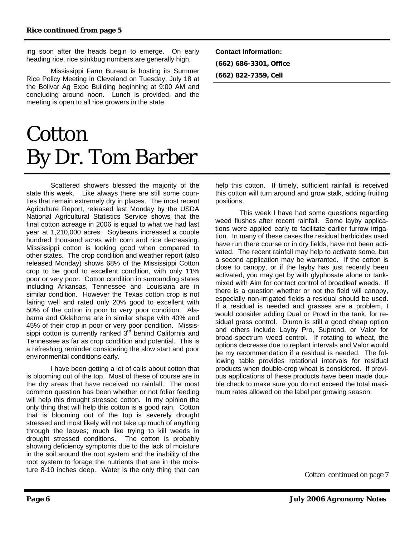ing soon after the heads begin to emerge. On early heading rice, rice stinkbug numbers are generally high.

 Mississippi Farm Bureau is hosting its Summer Rice Policy Meeting in Cleveland on Tuesday, July 18 at the Bolivar Ag Expo Building beginning at 9:00 AM and concluding around noon. Lunch is provided, and the meeting is open to all rice growers in the state.

# **Cotton** By Dr. Tom Barber

 Scattered showers blessed the majority of the state this week. Like always there are still some counties that remain extremely dry in places. The most recent Agriculture Report, released last Monday by the USDA National Agricultural Statistics Service shows that the final cotton acreage in 2006 is equal to what we had last year at 1,210,000 acres. Soybeans increased a couple hundred thousand acres with corn and rice decreasing. Mississippi cotton is looking good when compared to other states. The crop condition and weather report (also released Monday) shows 68% of the Mississippi Cotton crop to be good to excellent condition, with only 11% poor or very poor. Cotton condition in surrounding states including Arkansas, Tennessee and Louisiana are in similar condition. However the Texas cotton crop is not fairing well and rated only 20% good to excellent with 50% of the cotton in poor to very poor condition. Alabama and Oklahoma are in similar shape with 40% and 45% of their crop in poor or very poor condition. Mississippi cotton is currently ranked 3<sup>rd</sup> behind California and Tennessee as far as crop condition and potential. This is a refreshing reminder considering the slow start and poor environmental conditions early.

 I have been getting a lot of calls about cotton that is blooming out of the top. Most of these of course are in the dry areas that have received no rainfall. The most common question has been whether or not foliar feeding will help this drought stressed cotton. In my opinion the only thing that will help this cotton is a good rain. Cotton that is blooming out of the top is severely drought stressed and most likely will not take up much of anything through the leaves; much like trying to kill weeds in drought stressed conditions. The cotton is probably showing deficiency symptoms due to the lack of moisture in the soil around the root system and the inability of the root system to forage the nutrients that are in the moisture 8-10 inches deep. Water is the only thing that can

**Contact Information: (662) 686-3301, Office (662) 822-7359, Cell** 

help this cotton. If timely, sufficient rainfall is received this cotton will turn around and grow stalk, adding fruiting positions.

 This week I have had some questions regarding weed flushes after recent rainfall. Some layby applications were applied early to facilitate earlier furrow irrigation. In many of these cases the residual herbicides used have run there course or in dry fields, have not been activated. The recent rainfall may help to activate some, but a second application may be warranted. If the cotton is close to canopy, or if the layby has just recently been activated, you may get by with glyphosate alone or tankmixed with Aim for contact control of broadleaf weeds. If there is a question whether or not the field will canopy, especially non-irrigated fields a residual should be used. If a residual is needed and grasses are a problem, I would consider adding Dual or Prowl in the tank, for residual grass control. Diuron is still a good cheap option and others include Layby Pro, Suprend, or Valor for broad-spectrum weed control. If rotating to wheat, the options decrease due to replant intervals and Valor would be my recommendation if a residual is needed. The following table provides rotational intervals for residual products when double-crop wheat is considered. If previous applications of these products have been made double check to make sure you do not exceed the total maximum rates allowed on the label per growing season.

Cotton continued on page 7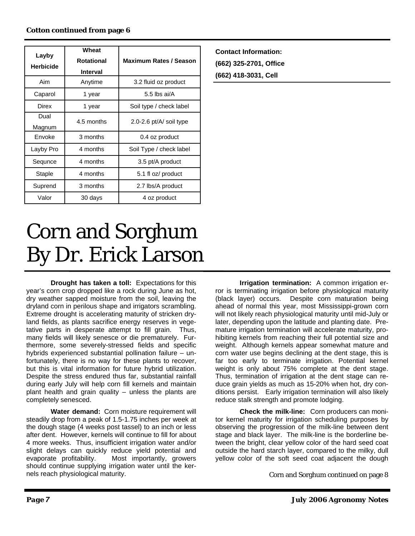| Layby<br><b>Herbicide</b> | Wheat<br><b>Rotational</b><br><b>Interval</b> | <b>Maximum Rates / Season</b> |
|---------------------------|-----------------------------------------------|-------------------------------|
| Aim                       | Anytime                                       | 3.2 fluid oz product          |
| Caparol                   | 1 year                                        | 5.5 lbs ai/ $A$               |
| Direx                     | 1 year                                        | Soil type / check label       |
| Dual<br>Magnum            | 4.5 months                                    | 2.0-2.6 $pt/A$ soil type      |
| Envoke                    | 3 months                                      | 0.4 oz product                |
| Layby Pro                 | 4 months                                      | Soil Type / check label       |
| Sequnce                   | 4 months                                      | 3.5 pt/A product              |
| Staple                    | 4 months                                      | 5.1 fl oz/ product            |
| Suprend                   | 3 months                                      | 2.7 lbs/A product             |
| Valor                     | 30 days                                       | 4 oz product                  |

**Contact Information: (662) 325-2701, Office (662) 418-3031, Cell** 

# Corn and Sorghum By Dr. Erick Larson

 **Drought has taken a toll:** Expectations for this year's corn crop dropped like a rock during June as hot, dry weather sapped moisture from the soil, leaving the dryland corn in perilous shape and irrigators scrambling. Extreme drought is accelerating maturity of stricken dryland fields, as plants sacrifice energy reserves in vegetative parts in desperate attempt to fill grain. Thus, many fields will likely senesce or die prematurely. Furthermore, some severely-stressed fields and specific hybrids experienced substantial pollination failure – unfortunately, there is no way for these plants to recover, but this is vital information for future hybrid utilization. Despite the stress endured thus far, substantial rainfall during early July will help corn fill kernels and maintain plant health and grain quality – unless the plants are completely senesced.

 **Water demand:** Corn moisture requirement will steadily drop from a peak of 1.5-1.75 inches per week at the dough stage (4 weeks post tassel) to an inch or less after dent. However, kernels will continue to fill for about 4 more weeks. Thus, insufficient irrigation water and/or slight delays can quickly reduce yield potential and evaporate profitability. Most importantly, growers should continue supplying irrigation water until the kernels reach physiological maturity.

**Irrigation termination:** A common irrigation error is terminating irrigation before physiological maturity (black layer) occurs. Despite corn maturation being ahead of normal this year, most Mississippi-grown corn will not likely reach physiological maturity until mid-July or later, depending upon the latitude and planting date. Premature irrigation termination will accelerate maturity, prohibiting kernels from reaching their full potential size and weight. Although kernels appear somewhat mature and corn water use begins declining at the dent stage, this is far too early to terminate irrigation. Potential kernel weight is only about 75% complete at the dent stage. Thus, termination of irrigation at the dent stage can reduce grain yields as much as 15-20% when hot, dry conditions persist. Early irrigation termination will also likely reduce stalk strength and promote lodging.

 **Check the milk-line:** Corn producers can monitor kernel maturity for irrigation scheduling purposes by observing the progression of the milk-line between dent stage and black layer. The milk-line is the borderline between the bright, clear yellow color of the hard seed coat outside the hard starch layer, compared to the milky, dull yellow color of the soft seed coat adjacent the dough

Corn and Sorghum continued on page 8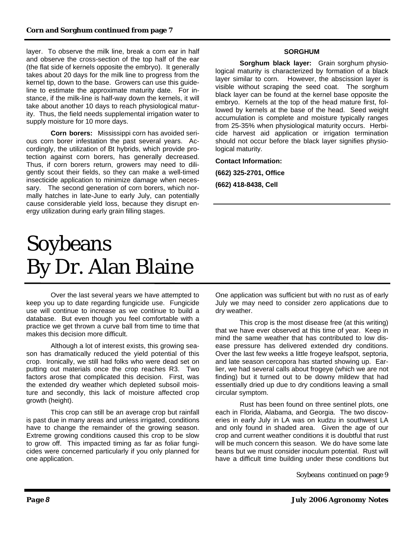layer. To observe the milk line, break a corn ear in half and observe the cross-section of the top half of the ear (the flat side of kernels opposite the embryo). It generally takes about 20 days for the milk line to progress from the kernel tip, down to the base. Growers can use this guideline to estimate the approximate maturity date. For instance, if the milk-line is half-way down the kernels, it will take about another 10 days to reach physiological maturity. Thus, the field needs supplemental irrigation water to supply moisture for 10 more days.

**Corn borers:** Mississippi corn has avoided serious corn borer infestation the past several years. Accordingly, the utilization of Bt hybrids, which provide protection against corn borers, has generally decreased. Thus, if corn borers return, growers may need to diligently scout their fields, so they can make a well-timed insecticide application to minimize damage when necessary. The second generation of corn borers, which normally hatches in late-June to early July, can potentially cause considerable yield loss, because they disrupt energy utilization during early grain filling stages.

# Soybeans By Dr. Alan Blaine

 Over the last several years we have attempted to keep you up to date regarding fungicide use. Fungicide use will continue to increase as we continue to build a database. But even though you feel comfortable with a practice we get thrown a curve ball from time to time that makes this decision more difficult.

 Although a lot of interest exists, this growing season has dramatically reduced the yield potential of this crop. Ironically, we still had folks who were dead set on putting out materials once the crop reaches R3. Two factors arose that complicated this decision. First, was the extended dry weather which depleted subsoil moisture and secondly, this lack of moisture affected crop growth (height).

 This crop can still be an average crop but rainfall is past due in many areas and unless irrigated, conditions have to change the remainder of the growing season. Extreme growing conditions caused this crop to be slow to grow off. This impacted timing as far as foliar fungicides were concerned particularly if you only planned for one application.

### **SORGHUM**

 **Sorghum black layer:** Grain sorghum physiological maturity is characterized by formation of a black layer similar to corn. However, the abscission layer is visible without scraping the seed coat. The sorghum black layer can be found at the kernel base opposite the embryo. Kernels at the top of the head mature first, followed by kernels at the base of the head. Seed weight accumulation is complete and moisture typically ranges from 25-35% when physiological maturity occurs. Herbicide harvest aid application or irrigation termination should not occur before the black layer signifies physiological maturity.

**Contact Information:** 

**(662) 325-2701, Office (662) 418-8438, Cell** 

One application was sufficient but with no rust as of early July we may need to consider zero applications due to dry weather.

 This crop is the most disease free (at this writing) that we have ever observed at this time of year. Keep in mind the same weather that has contributed to low disease pressure has delivered extended dry conditions. Over the last few weeks a little frogeye leafspot, septoria, and late season cercopora has started showing up. Earlier, we had several calls about frogeye (which we are not finding) but it turned out to be downy mildew that had essentially dried up due to dry conditions leaving a small circular symptom.

 Rust has been found on three sentinel plots, one each in Florida, Alabama, and Georgia. The two discoveries in early July in LA was on kudzu in southwest LA and only found in shaded area. Given the age of our crop and current weather conditions it is doubtful that rust will be much concern this season. We do have some late beans but we must consider inoculum potential. Rust will have a difficult time building under these conditions but

Soybeans continued on page 9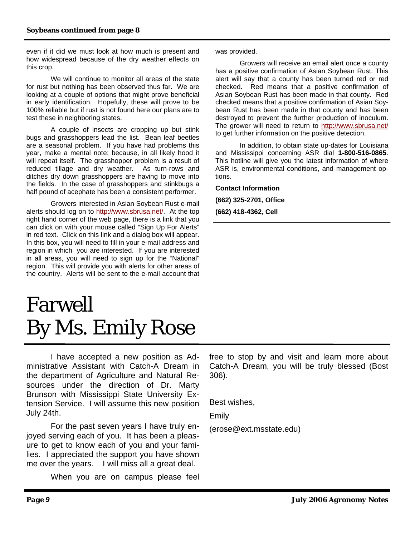even if it did we must look at how much is present and how widespread because of the dry weather effects on this crop.

 We will continue to monitor all areas of the state for rust but nothing has been observed thus far. We are looking at a couple of options that might prove beneficial in early identification. Hopefully, these will prove to be 100% reliable but if rust is not found here our plans are to test these in neighboring states.

 A couple of insects are cropping up but stink bugs and grasshoppers lead the list. Bean leaf beetles are a seasonal problem. If you have had problems this year, make a mental note; because, in all likely hood it will repeat itself. The grasshopper problem is a result of reduced tillage and dry weather. As turn-rows and ditches dry down grasshoppers are having to move into the fields. In the case of grasshoppers and stinkbugs a half pound of acephate has been a consistent performer.

 Growers interested in Asian Soybean Rust e-mail alerts should log on to http://www.sbrusa.net/. At the top right hand corner of the web page, there is a link that you can click on with your mouse called "Sign Up For Alerts" in red text. Click on this link and a dialog box will appear. In this box, you will need to fill in your e-mail address and region in which you are interested. If you are interested in all areas, you will need to sign up for the "National" region. This will provide you with alerts for other areas of the country. Alerts will be sent to the e-mail account that

# Farwell By Ms. Emily Rose

I have accepted a new position as Administrative Assistant with Catch-A Dream in the department of Agriculture and Natural Resources under the direction of Dr. Marty Brunson with Mississippi State University Extension Service. I will assume this new position July 24th.

 For the past seven years I have truly enjoyed serving each of you. It has been a pleasure to get to know each of you and your families. I appreciated the support you have shown me over the years. I will miss all a great deal.

When you are on campus please feel

was provided.

 Growers will receive an email alert once a county has a positive confirmation of Asian Soybean Rust. This alert will say that a county has been turned red or red checked. Red means that a positive confirmation of Asian Soybean Rust has been made in that county. Red checked means that a positive confirmation of Asian Soybean Rust has been made in that county and has been destroyed to prevent the further production of inoculum. The grower will need to return to http://www.sbrusa.net/ to get further information on the positive detection.

 In addition, to obtain state up-dates for Louisiana and Mississippi concerning ASR dial **1-800-516-0865**. This hotline will give you the latest information of where ASR is, environmental conditions, and management options.

**Contact Information (662) 325-2701, Office (662) 418-4362, Cell** 

free to stop by and visit and learn more about Catch-A Dream, you will be truly blessed (Bost 306).

Best wishes,

Emily

(erose@ext.msstate.edu)